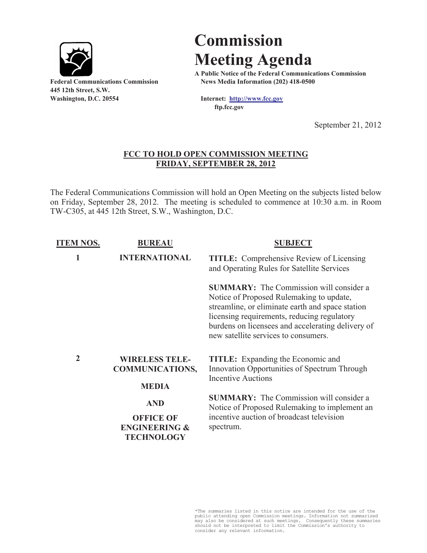

**445 12th Street, S.W. Washington, D.C. 20554 Internet: http://www.fcc.gov**

## **Commission Meeting Agenda**

**A Public Notice of the Federal Communications Commission Federal Communications Commission News Media Information (202) 418-0500**

**ftp.fcc.gov**

September 21, 2012

## **FCC TO HOLD OPEN COMMISSION MEETING FRIDAY, SEPTEMBER 28, 2012**

The Federal Communications Commission will hold an Open Meeting on the subjects listed below on Friday, September 28, 2012. The meeting is scheduled to commence at 10:30 a.m. in Room TW-C305, at 445 12th Street, S.W., Washington, D.C.

| <b>ITEM NOS.</b> | <b>BUREAU</b>                                                                   | <b>SUBJECT</b>                                                                                                                                                                                                                                                                             |
|------------------|---------------------------------------------------------------------------------|--------------------------------------------------------------------------------------------------------------------------------------------------------------------------------------------------------------------------------------------------------------------------------------------|
| 1                | <b>INTERNATIONAL</b>                                                            | <b>TITLE:</b> Comprehensive Review of Licensing<br>and Operating Rules for Satellite Services                                                                                                                                                                                              |
|                  |                                                                                 | <b>SUMMARY:</b> The Commission will consider a<br>Notice of Proposed Rulemaking to update,<br>streamline, or eliminate earth and space station<br>licensing requirements, reducing regulatory<br>burdens on licensees and accelerating delivery of<br>new satellite services to consumers. |
| $\overline{2}$   | <b>WIRELESS TELE-</b><br><b>COMMUNICATIONS,</b><br><b>MEDIA</b>                 | <b>TITLE:</b> Expanding the Economic and<br>Innovation Opportunities of Spectrum Through<br><b>Incentive Auctions</b>                                                                                                                                                                      |
|                  | <b>AND</b><br><b>OFFICE OF</b><br><b>ENGINEERING &amp;</b><br><b>TECHNOLOGY</b> | <b>SUMMARY:</b> The Commission will consider a<br>Notice of Proposed Rulemaking to implement an<br>incentive auction of broadcast television<br>spectrum.                                                                                                                                  |